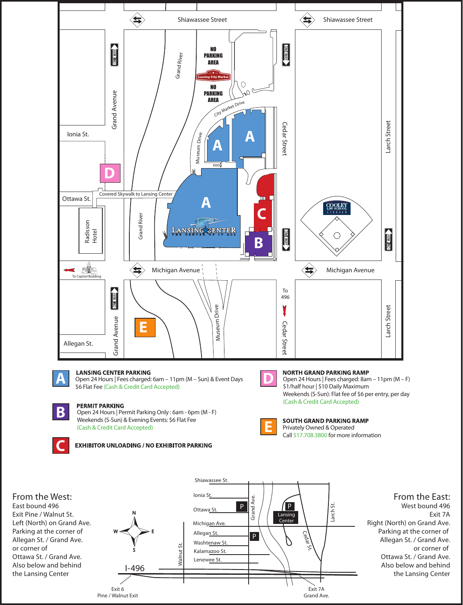





**From the East:** West bound 496 Exit 7A Right (North) on Grand Ave. Parking at the corner of Allegan St. / Grand Ave. or corner of Ottawa St. / Grand Ave. Also below and behind the Lansing Center